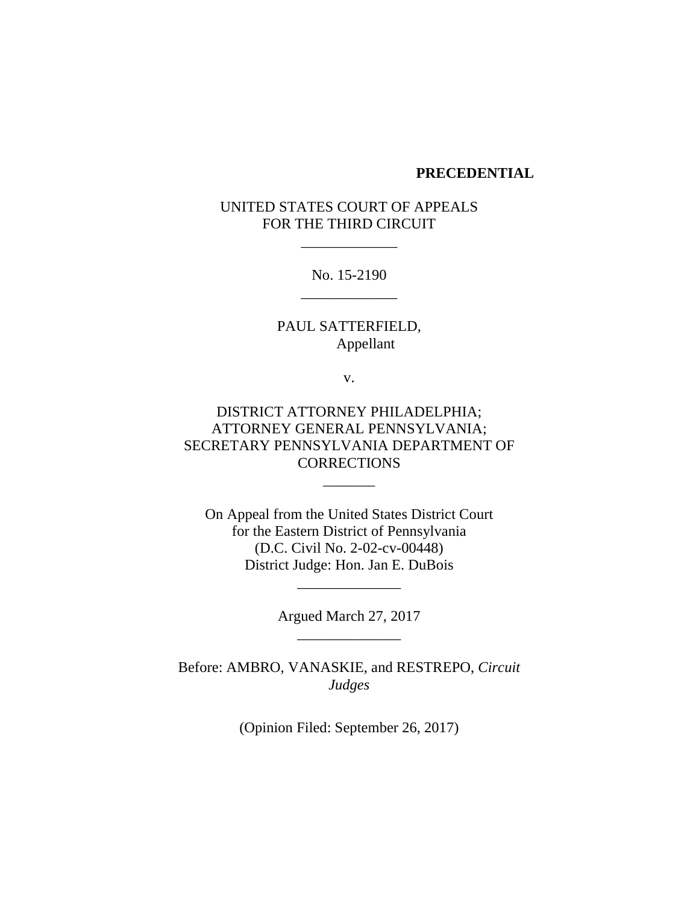#### **PRECEDENTIAL**

# UNITED STATES COURT OF APPEALS FOR THE THIRD CIRCUIT

\_\_\_\_\_\_\_\_\_\_\_\_\_

No. 15-2190 \_\_\_\_\_\_\_\_\_\_\_\_\_

PAUL SATTERFIELD, Appellant

v.

DISTRICT ATTORNEY PHILADELPHIA; ATTORNEY GENERAL PENNSYLVANIA; SECRETARY PENNSYLVANIA DEPARTMENT OF **CORRECTIONS** 

\_\_\_\_\_\_\_

On Appeal from the United States District Court for the Eastern District of Pennsylvania (D.C. Civil No. 2-02-cv-00448) District Judge: Hon. Jan E. DuBois

> Argued March 27, 2017 \_\_\_\_\_\_\_\_\_\_\_\_\_\_

\_\_\_\_\_\_\_\_\_\_\_\_\_\_

Before: AMBRO, VANASKIE, and RESTREPO, *Circuit Judges*

(Opinion Filed: September 26, 2017)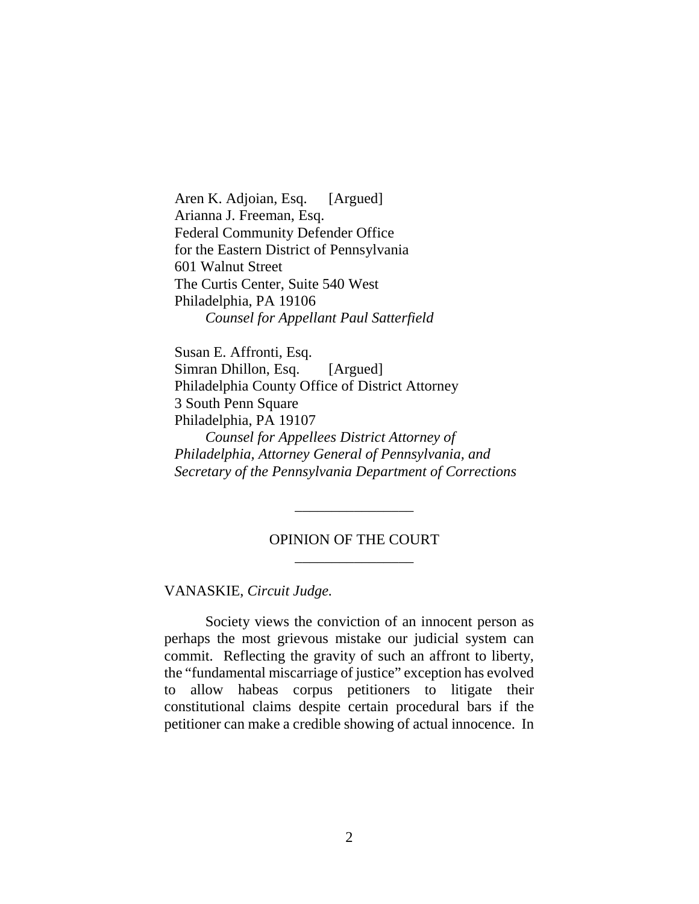Aren K. Adjoian, Esq. [Argued] Arianna J. Freeman, Esq. Federal Community Defender Office for the Eastern District of Pennsylvania 601 Walnut Street The Curtis Center, Suite 540 West Philadelphia, PA 19106 *Counsel for Appellant Paul Satterfield*

Susan E. Affronti, Esq. Simran Dhillon, Esq. [Argued] Philadelphia County Office of District Attorney 3 South Penn Square Philadelphia, PA 19107 *Counsel for Appellees District Attorney of Philadelphia, Attorney General of Pennsylvania, and Secretary of the Pennsylvania Department of Corrections*

### OPINION OF THE COURT \_\_\_\_\_\_\_\_\_\_\_\_\_\_\_\_

\_\_\_\_\_\_\_\_\_\_\_\_\_\_\_\_

VANASKIE, *Circuit Judge.*

Society views the conviction of an innocent person as perhaps the most grievous mistake our judicial system can commit. Reflecting the gravity of such an affront to liberty, the "fundamental miscarriage of justice" exception has evolved to allow habeas corpus petitioners to litigate their constitutional claims despite certain procedural bars if the petitioner can make a credible showing of actual innocence. In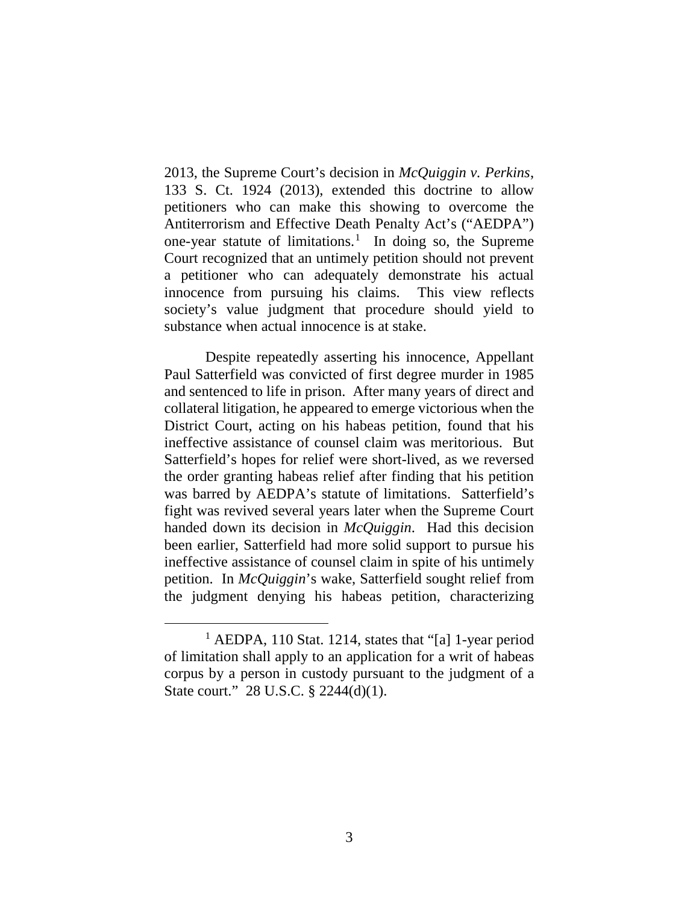2013, the Supreme Court's decision in *McQuiggin v. Perkins*, 133 S. Ct. 1924 (2013), extended this doctrine to allow petitioners who can make this showing to overcome the Antiterrorism and Effective Death Penalty Act's ("AEDPA") one-year statute of limitations.<sup>1</sup> In doing so, the Supreme Court recognized that an untimely petition should not prevent a petitioner who can adequately demonstrate his actual innocence from pursuing his claims. This view reflects society's value judgment that procedure should yield to substance when actual innocence is at stake.

Despite repeatedly asserting his innocence, Appellant Paul Satterfield was convicted of first degree murder in 1985 and sentenced to life in prison. After many years of direct and collateral litigation, he appeared to emerge victorious when the District Court, acting on his habeas petition, found that his ineffective assistance of counsel claim was meritorious. But Satterfield's hopes for relief were short-lived, as we reversed the order granting habeas relief after finding that his petition was barred by AEDPA's statute of limitations. Satterfield's fight was revived several years later when the Supreme Court handed down its decision in *McQuiggin*. Had this decision been earlier, Satterfield had more solid support to pursue his ineffective assistance of counsel claim in spite of his untimely petition. In *McQuiggin*'s wake, Satterfield sought relief from the judgment denying his habeas petition, characterizing

<sup>&</sup>lt;sup>1</sup> AEDPA, 110 Stat. 1214, states that "[a] 1-year period of limitation shall apply to an application for a writ of habeas corpus by a person in custody pursuant to the judgment of a State court." 28 U.S.C. § 2244(d)(1).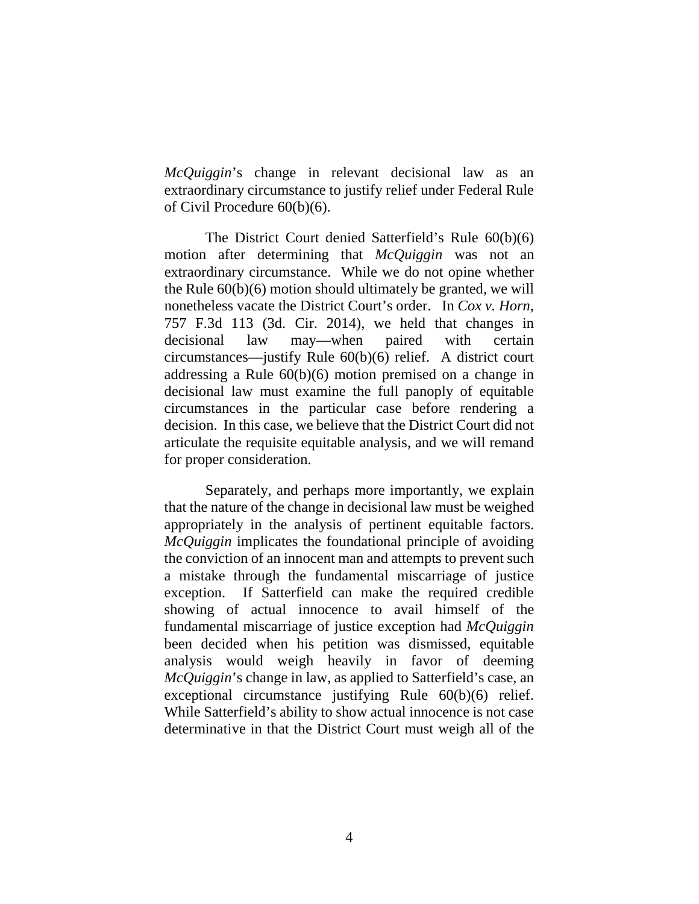*McQuiggin*'s change in relevant decisional law as an extraordinary circumstance to justify relief under Federal Rule of Civil Procedure 60(b)(6).

The District Court denied Satterfield's Rule 60(b)(6) motion after determining that *McQuiggin* was not an extraordinary circumstance. While we do not opine whether the Rule 60(b)(6) motion should ultimately be granted, we will nonetheless vacate the District Court's order. In *Cox v. Horn*, 757 F.3d 113 (3d. Cir. 2014), we held that changes in decisional law may—when paired with certain circumstances—justify Rule 60(b)(6) relief. A district court addressing a Rule 60(b)(6) motion premised on a change in decisional law must examine the full panoply of equitable circumstances in the particular case before rendering a decision. In this case, we believe that the District Court did not articulate the requisite equitable analysis, and we will remand for proper consideration.

Separately, and perhaps more importantly, we explain that the nature of the change in decisional law must be weighed appropriately in the analysis of pertinent equitable factors. *McQuiggin* implicates the foundational principle of avoiding the conviction of an innocent man and attempts to prevent such a mistake through the fundamental miscarriage of justice exception. If Satterfield can make the required credible showing of actual innocence to avail himself of the fundamental miscarriage of justice exception had *McQuiggin* been decided when his petition was dismissed, equitable analysis would weigh heavily in favor of deeming *McQuiggin*'s change in law, as applied to Satterfield's case, an exceptional circumstance justifying Rule 60(b)(6) relief. While Satterfield's ability to show actual innocence is not case determinative in that the District Court must weigh all of the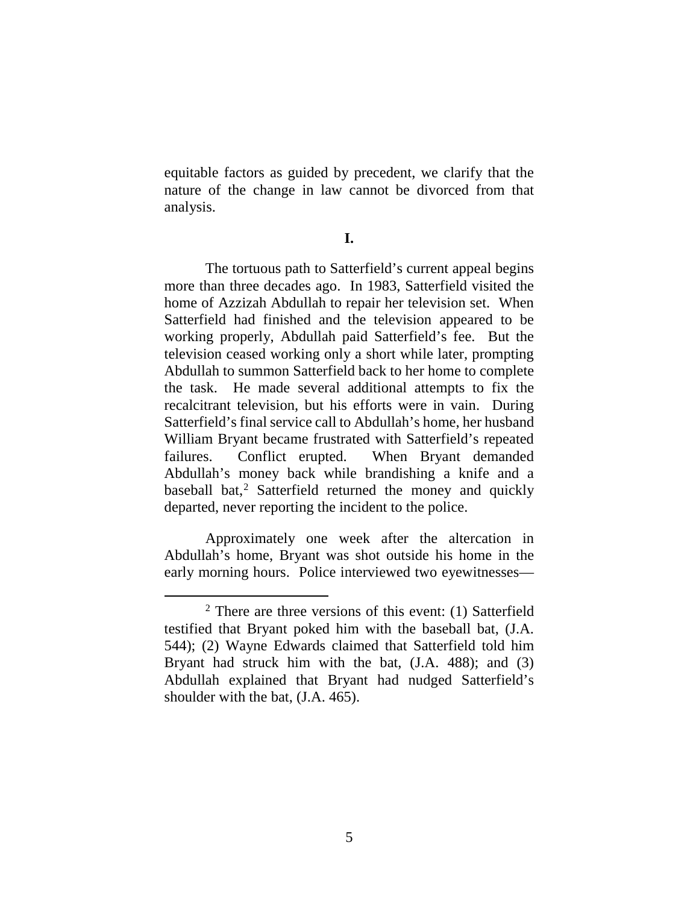equitable factors as guided by precedent, we clarify that the nature of the change in law cannot be divorced from that analysis.

**I.**

The tortuous path to Satterfield's current appeal begins more than three decades ago. In 1983, Satterfield visited the home of Azzizah Abdullah to repair her television set. When Satterfield had finished and the television appeared to be working properly, Abdullah paid Satterfield's fee. But the television ceased working only a short while later, prompting Abdullah to summon Satterfield back to her home to complete the task. He made several additional attempts to fix the recalcitrant television, but his efforts were in vain. During Satterfield's final service call to Abdullah's home, her husband William Bryant became frustrated with Satterfield's repeated failures. Conflict erupted. When Bryant demanded Abdullah's money back while brandishing a knife and a baseball bat,<sup>2</sup> Satterfield returned the money and quickly departed, never reporting the incident to the police.

Approximately one week after the altercation in Abdullah's home, Bryant was shot outside his home in the early morning hours. Police interviewed two eyewitnesses—

 $2$  There are three versions of this event: (1) Satterfield testified that Bryant poked him with the baseball bat, (J.A. 544); (2) Wayne Edwards claimed that Satterfield told him Bryant had struck him with the bat, (J.A. 488); and (3) Abdullah explained that Bryant had nudged Satterfield's shoulder with the bat, (J.A. 465).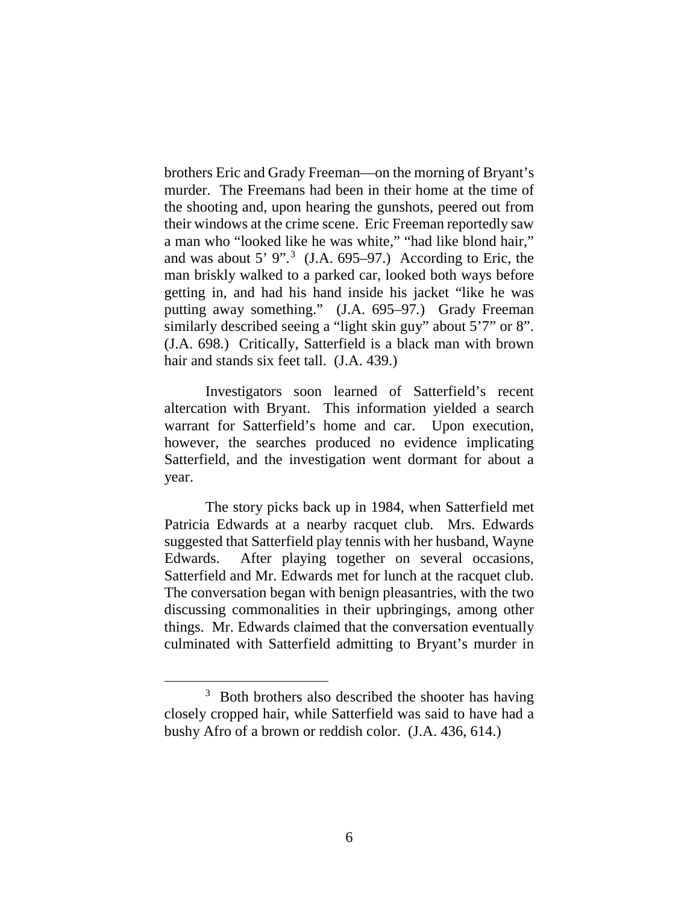brothers Eric and Grady Freeman—on the morning of Bryant's murder. The Freemans had been in their home at the time of the shooting and, upon hearing the gunshots, peered out from their windows at the crime scene. Eric Freeman reportedly saw a man who "looked like he was white," "had like blond hair," and was about 5'  $9$ ".<sup>3</sup> (J.A. 695–97.) According to Eric, the man briskly walked to a parked car, looked both ways before getting in, and had his hand inside his jacket "like he was putting away something." (J.A. 695–97*.*) Grady Freeman similarly described seeing a "light skin guy" about 5'7" or 8". (J.A. 698.) Critically, Satterfield is a black man with brown hair and stands six feet tall. (J.A. 439.)

Investigators soon learned of Satterfield's recent altercation with Bryant. This information yielded a search warrant for Satterfield's home and car. Upon execution, however, the searches produced no evidence implicating Satterfield, and the investigation went dormant for about a year.

The story picks back up in 1984, when Satterfield met Patricia Edwards at a nearby racquet club. Mrs. Edwards suggested that Satterfield play tennis with her husband, Wayne Edwards. After playing together on several occasions, Satterfield and Mr. Edwards met for lunch at the racquet club. The conversation began with benign pleasantries, with the two discussing commonalities in their upbringings, among other things. Mr. Edwards claimed that the conversation eventually culminated with Satterfield admitting to Bryant's murder in

<sup>&</sup>lt;sup>3</sup> Both brothers also described the shooter has having closely cropped hair, while Satterfield was said to have had a bushy Afro of a brown or reddish color. (J.A. 436, 614.)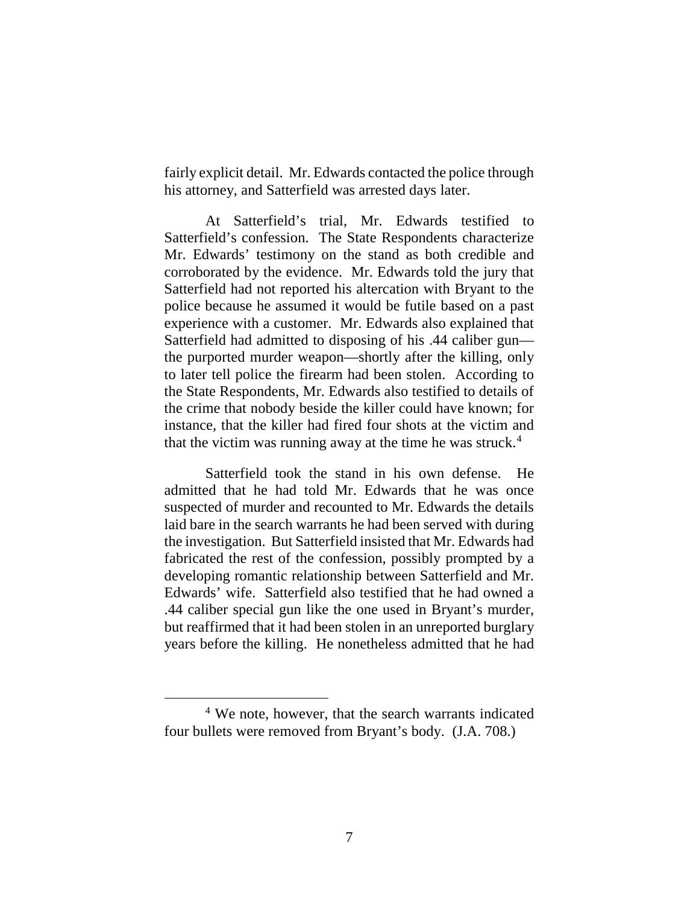fairly explicit detail. Mr. Edwards contacted the police through his attorney, and Satterfield was arrested days later.

At Satterfield's trial, Mr. Edwards testified to Satterfield's confession. The State Respondents characterize Mr. Edwards' testimony on the stand as both credible and corroborated by the evidence. Mr. Edwards told the jury that Satterfield had not reported his altercation with Bryant to the police because he assumed it would be futile based on a past experience with a customer. Mr. Edwards also explained that Satterfield had admitted to disposing of his .44 caliber gun the purported murder weapon—shortly after the killing, only to later tell police the firearm had been stolen. According to the State Respondents, Mr. Edwards also testified to details of the crime that nobody beside the killer could have known; for instance, that the killer had fired four shots at the victim and that the victim was running away at the time he was struck. 4

Satterfield took the stand in his own defense. He admitted that he had told Mr. Edwards that he was once suspected of murder and recounted to Mr. Edwards the details laid bare in the search warrants he had been served with during the investigation. But Satterfield insisted that Mr. Edwards had fabricated the rest of the confession, possibly prompted by a developing romantic relationship between Satterfield and Mr. Edwards' wife. Satterfield also testified that he had owned a .44 caliber special gun like the one used in Bryant's murder, but reaffirmed that it had been stolen in an unreported burglary years before the killing. He nonetheless admitted that he had

 <sup>4</sup> We note, however, that the search warrants indicated four bullets were removed from Bryant's body. (J.A. 708.)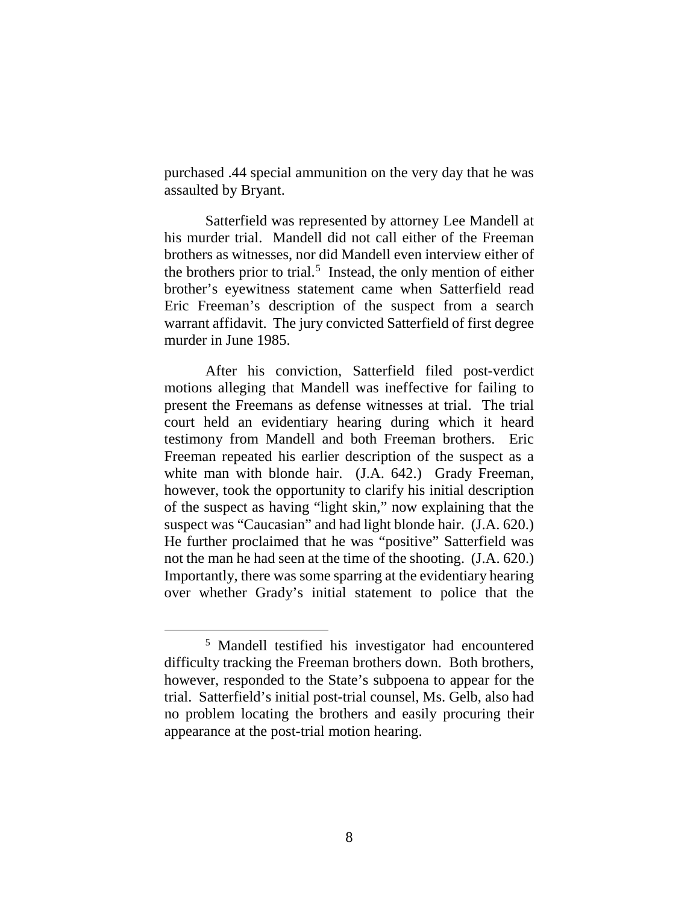purchased .44 special ammunition on the very day that he was assaulted by Bryant.

Satterfield was represented by attorney Lee Mandell at his murder trial. Mandell did not call either of the Freeman brothers as witnesses, nor did Mandell even interview either of the brothers prior to trial. 5 Instead, the only mention of either brother's eyewitness statement came when Satterfield read Eric Freeman's description of the suspect from a search warrant affidavit. The jury convicted Satterfield of first degree murder in June 1985.

After his conviction, Satterfield filed post-verdict motions alleging that Mandell was ineffective for failing to present the Freemans as defense witnesses at trial. The trial court held an evidentiary hearing during which it heard testimony from Mandell and both Freeman brothers. Eric Freeman repeated his earlier description of the suspect as a white man with blonde hair. (J.A. 642.) Grady Freeman, however, took the opportunity to clarify his initial description of the suspect as having "light skin," now explaining that the suspect was "Caucasian" and had light blonde hair. (J.A. 620.) He further proclaimed that he was "positive" Satterfield was not the man he had seen at the time of the shooting. (J.A. 620.) Importantly, there was some sparring at the evidentiary hearing over whether Grady's initial statement to police that the

 <sup>5</sup> Mandell testified his investigator had encountered difficulty tracking the Freeman brothers down. Both brothers, however, responded to the State's subpoena to appear for the trial. Satterfield's initial post-trial counsel, Ms. Gelb, also had no problem locating the brothers and easily procuring their appearance at the post-trial motion hearing.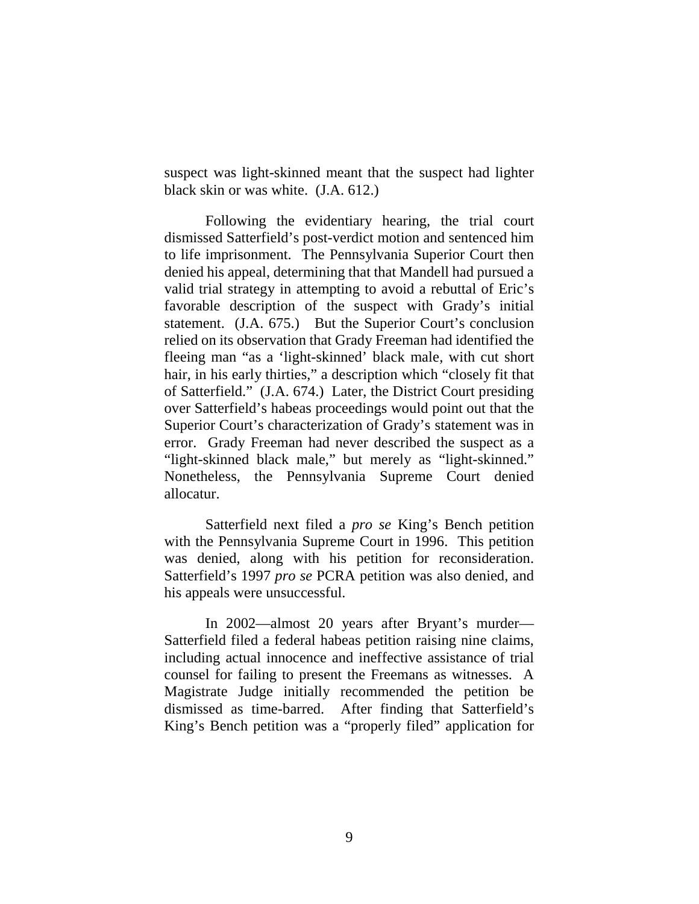suspect was light-skinned meant that the suspect had lighter black skin or was white. (J.A. 612.)

Following the evidentiary hearing, the trial court dismissed Satterfield's post-verdict motion and sentenced him to life imprisonment. The Pennsylvania Superior Court then denied his appeal, determining that that Mandell had pursued a valid trial strategy in attempting to avoid a rebuttal of Eric's favorable description of the suspect with Grady's initial statement. (J.A. 675.) But the Superior Court's conclusion relied on its observation that Grady Freeman had identified the fleeing man "as a 'light-skinned' black male, with cut short hair, in his early thirties," a description which "closely fit that of Satterfield." (J.A. 674.) Later, the District Court presiding over Satterfield's habeas proceedings would point out that the Superior Court's characterization of Grady's statement was in error. Grady Freeman had never described the suspect as a "light-skinned black male," but merely as "light-skinned." Nonetheless, the Pennsylvania Supreme Court denied allocatur.

Satterfield next filed a *pro se* King's Bench petition with the Pennsylvania Supreme Court in 1996. This petition was denied, along with his petition for reconsideration. Satterfield's 1997 *pro se* PCRA petition was also denied, and his appeals were unsuccessful.

In 2002—almost 20 years after Bryant's murder— Satterfield filed a federal habeas petition raising nine claims, including actual innocence and ineffective assistance of trial counsel for failing to present the Freemans as witnesses. A Magistrate Judge initially recommended the petition be dismissed as time-barred. After finding that Satterfield's King's Bench petition was a "properly filed" application for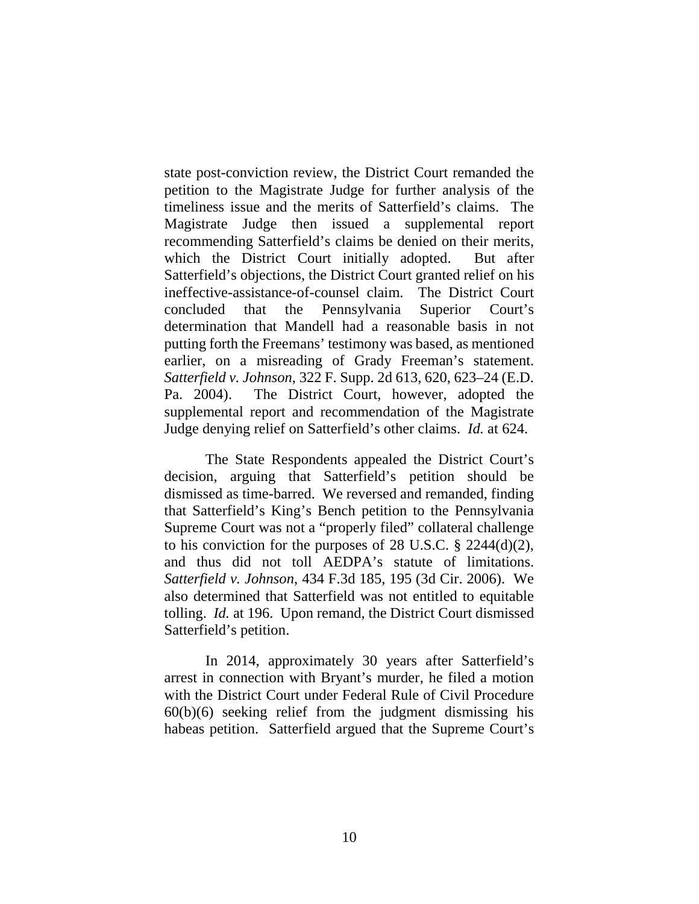state post-conviction review, the District Court remanded the petition to the Magistrate Judge for further analysis of the timeliness issue and the merits of Satterfield's claims. The Magistrate Judge then issued a supplemental report recommending Satterfield's claims be denied on their merits, which the District Court initially adopted. But after Satterfield's objections, the District Court granted relief on his ineffective-assistance-of-counsel claim. The District Court concluded that the Pennsylvania Superior Court's determination that Mandell had a reasonable basis in not putting forth the Freemans' testimony was based, as mentioned earlier, on a misreading of Grady Freeman's statement. *Satterfield v. Johnson*, 322 F. Supp. 2d 613, 620, 623–24 (E.D. Pa. 2004). The District Court, however, adopted the supplemental report and recommendation of the Magistrate Judge denying relief on Satterfield's other claims. *Id.* at 624.

The State Respondents appealed the District Court's decision, arguing that Satterfield's petition should be dismissed as time-barred. We reversed and remanded, finding that Satterfield's King's Bench petition to the Pennsylvania Supreme Court was not a "properly filed" collateral challenge to his conviction for the purposes of 28 U.S.C.  $\S$  2244(d)(2), and thus did not toll AEDPA's statute of limitations. *Satterfield v. Johnson*, 434 F.3d 185, 195 (3d Cir. 2006). We also determined that Satterfield was not entitled to equitable tolling. *Id.* at 196. Upon remand, the District Court dismissed Satterfield's petition.

In 2014, approximately 30 years after Satterfield's arrest in connection with Bryant's murder, he filed a motion with the District Court under Federal Rule of Civil Procedure  $60(b)(6)$  seeking relief from the judgment dismissing his habeas petition. Satterfield argued that the Supreme Court's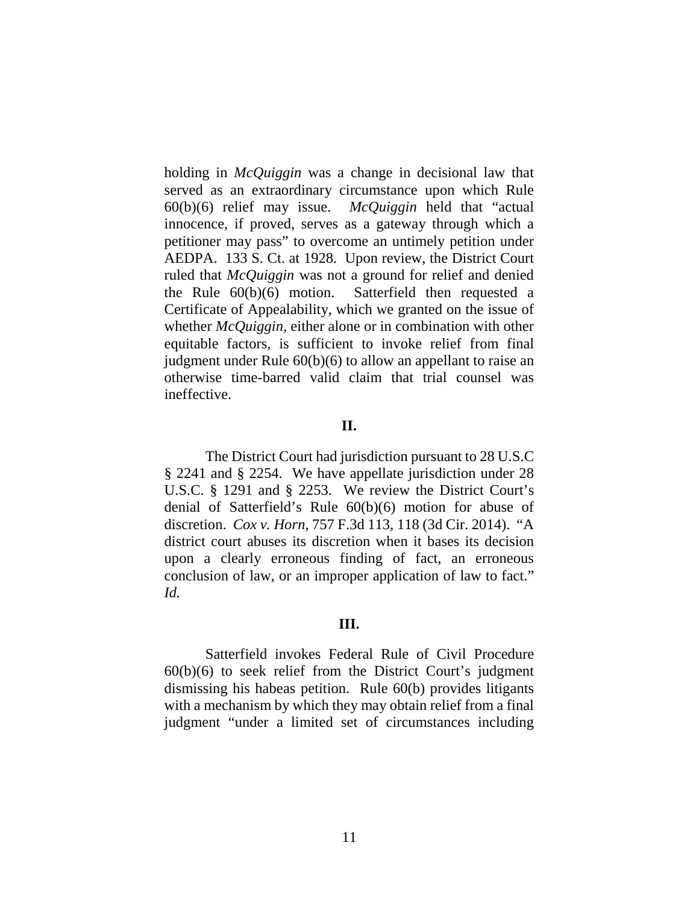holding in *McQuiggin* was a change in decisional law that served as an extraordinary circumstance upon which Rule 60(b)(6) relief may issue. *McQuiggin* held that "actual innocence, if proved, serves as a gateway through which a petitioner may pass" to overcome an untimely petition under AEDPA. 133 S. Ct. at 1928. Upon review, the District Court ruled that *McQuiggin* was not a ground for relief and denied the Rule 60(b)(6) motion. Satterfield then requested a Certificate of Appealability, which we granted on the issue of whether *McQuiggin*, either alone or in combination with other equitable factors, is sufficient to invoke relief from final judgment under Rule 60(b)(6) to allow an appellant to raise an otherwise time-barred valid claim that trial counsel was ineffective.

### **II.**

The District Court had jurisdiction pursuant to 28 U.S.C § 2241 and § 2254. We have appellate jurisdiction under 28 U.S.C. § 1291 and § 2253. We review the District Court's denial of Satterfield's Rule 60(b)(6) motion for abuse of discretion. *Cox v. Horn*, 757 F.3d 113, 118 (3d Cir. 2014). "A district court abuses its discretion when it bases its decision upon a clearly erroneous finding of fact, an erroneous conclusion of law, or an improper application of law to fact." *Id.*

#### **III.**

Satterfield invokes Federal Rule of Civil Procedure 60(b)(6) to seek relief from the District Court's judgment dismissing his habeas petition. Rule 60(b) provides litigants with a mechanism by which they may obtain relief from a final judgment "under a limited set of circumstances including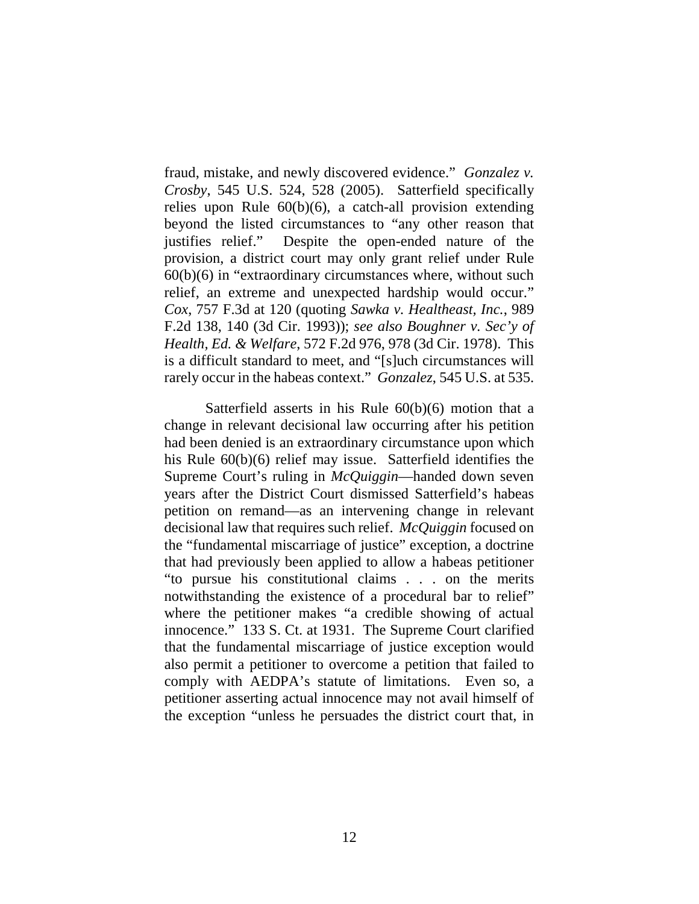fraud, mistake, and newly discovered evidence." *Gonzalez v. Crosby*, 545 U.S. 524, 528 (2005). Satterfield specifically relies upon Rule 60(b)(6), a catch-all provision extending beyond the listed circumstances to "any other reason that justifies relief." Despite the open-ended nature of the provision, a district court may only grant relief under Rule 60(b)(6) in "extraordinary circumstances where, without such relief, an extreme and unexpected hardship would occur." *Cox*, 757 F.3d at 120 (quoting *Sawka v. Healtheast, Inc.*, 989 F.2d 138, 140 (3d Cir. 1993)); *see also Boughner v. Sec'y of Health, Ed. & Welfare*, 572 F.2d 976, 978 (3d Cir. 1978). This is a difficult standard to meet, and "[s]uch circumstances will rarely occur in the habeas context." *Gonzalez*, 545 U.S. at 535.

Satterfield asserts in his Rule 60(b)(6) motion that a change in relevant decisional law occurring after his petition had been denied is an extraordinary circumstance upon which his Rule  $60(b)(6)$  relief may issue. Satterfield identifies the Supreme Court's ruling in *McQuiggin*—handed down seven years after the District Court dismissed Satterfield's habeas petition on remand—as an intervening change in relevant decisional law that requires such relief. *McQuiggin* focused on the "fundamental miscarriage of justice" exception, a doctrine that had previously been applied to allow a habeas petitioner "to pursue his constitutional claims . . . on the merits notwithstanding the existence of a procedural bar to relief" where the petitioner makes "a credible showing of actual innocence." 133 S. Ct. at 1931. The Supreme Court clarified that the fundamental miscarriage of justice exception would also permit a petitioner to overcome a petition that failed to comply with AEDPA's statute of limitations. Even so, a petitioner asserting actual innocence may not avail himself of the exception "unless he persuades the district court that, in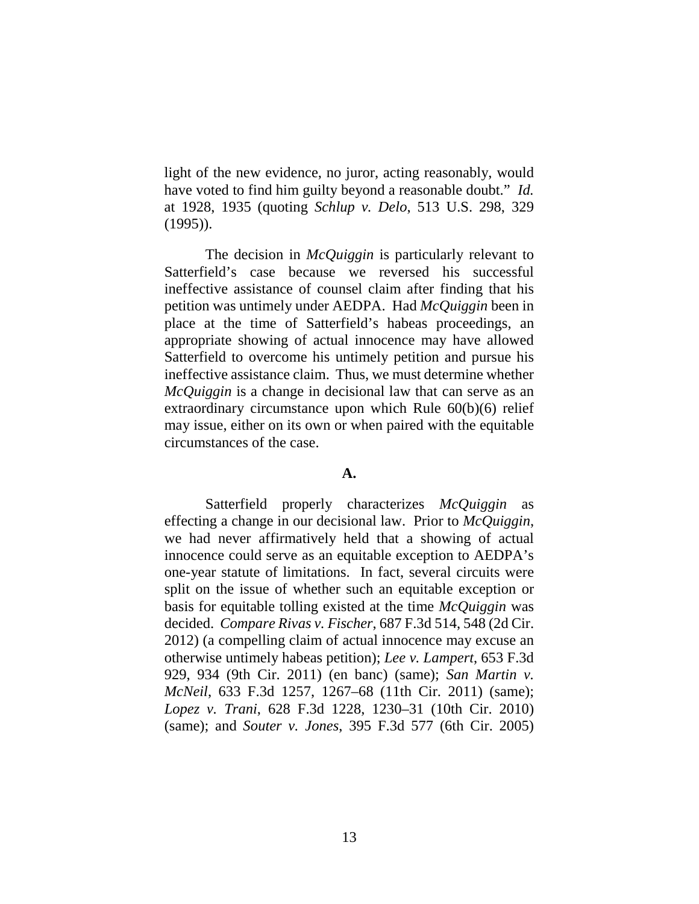light of the new evidence, no juror, acting reasonably, would have voted to find him guilty beyond a reasonable doubt." *Id.* at 1928, 1935 (quoting *Schlup v. Delo*, 513 U.S. 298, 329 (1995)).

The decision in *McQuiggin* is particularly relevant to Satterfield's case because we reversed his successful ineffective assistance of counsel claim after finding that his petition was untimely under AEDPA. Had *McQuiggin* been in place at the time of Satterfield's habeas proceedings, an appropriate showing of actual innocence may have allowed Satterfield to overcome his untimely petition and pursue his ineffective assistance claim. Thus, we must determine whether *McQuiggin* is a change in decisional law that can serve as an extraordinary circumstance upon which Rule 60(b)(6) relief may issue, either on its own or when paired with the equitable circumstances of the case.

#### **A.**

Satterfield properly characterizes *McQuiggin* as effecting a change in our decisional law. Prior to *McQuiggin*, we had never affirmatively held that a showing of actual innocence could serve as an equitable exception to AEDPA's one-year statute of limitations. In fact, several circuits were split on the issue of whether such an equitable exception or basis for equitable tolling existed at the time *McQuiggin* was decided. *Compare Rivas v. Fischer*, 687 F.3d 514, 548 (2d Cir. 2012) (a compelling claim of actual innocence may excuse an otherwise untimely habeas petition); *Lee v. Lampert*, 653 F.3d 929, 934 (9th Cir. 2011) (en banc) (same); *San Martin v. McNeil*, 633 F.3d 1257, 1267–68 (11th Cir. 2011) (same); *Lopez v. Trani*, 628 F.3d 1228, 1230–31 (10th Cir. 2010) (same); and *Souter v. Jones*, 395 F.3d 577 (6th Cir. 2005)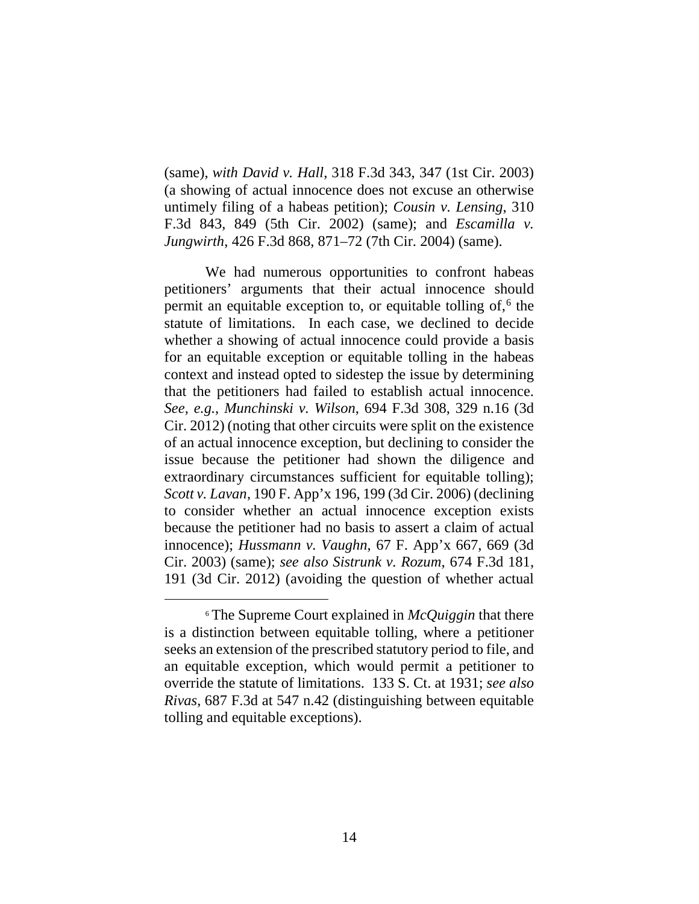(same), *with David v. Hall*, 318 F.3d 343, 347 (1st Cir. 2003) (a showing of actual innocence does not excuse an otherwise untimely filing of a habeas petition); *Cousin v. Lensing*, 310 F.3d 843, 849 (5th Cir. 2002) (same); and *Escamilla v. Jungwirth*, 426 F.3d 868, 871–72 (7th Cir. 2004) (same).

We had numerous opportunities to confront habeas petitioners' arguments that their actual innocence should permit an equitable exception to, or equitable tolling of, $6$  the statute of limitations. In each case, we declined to decide whether a showing of actual innocence could provide a basis for an equitable exception or equitable tolling in the habeas context and instead opted to sidestep the issue by determining that the petitioners had failed to establish actual innocence. *See, e.g.*, *Munchinski v. Wilson*, 694 F.3d 308, 329 n.16 (3d Cir. 2012) (noting that other circuits were split on the existence of an actual innocence exception, but declining to consider the issue because the petitioner had shown the diligence and extraordinary circumstances sufficient for equitable tolling); *Scott v. Lavan*, 190 F. App'x 196, 199 (3d Cir. 2006) (declining to consider whether an actual innocence exception exists because the petitioner had no basis to assert a claim of actual innocence); *Hussmann v. Vaughn*, 67 F. App'x 667, 669 (3d Cir. 2003) (same); *see also Sistrunk v. Rozum*, 674 F.3d 181, 191 (3d Cir. 2012) (avoiding the question of whether actual

 <sup>6</sup> The Supreme Court explained in *McQuiggin* that there is a distinction between equitable tolling, where a petitioner seeks an extension of the prescribed statutory period to file, and an equitable exception, which would permit a petitioner to override the statute of limitations. 133 S. Ct. at 1931; *see also Rivas*, 687 F.3d at 547 n.42 (distinguishing between equitable tolling and equitable exceptions).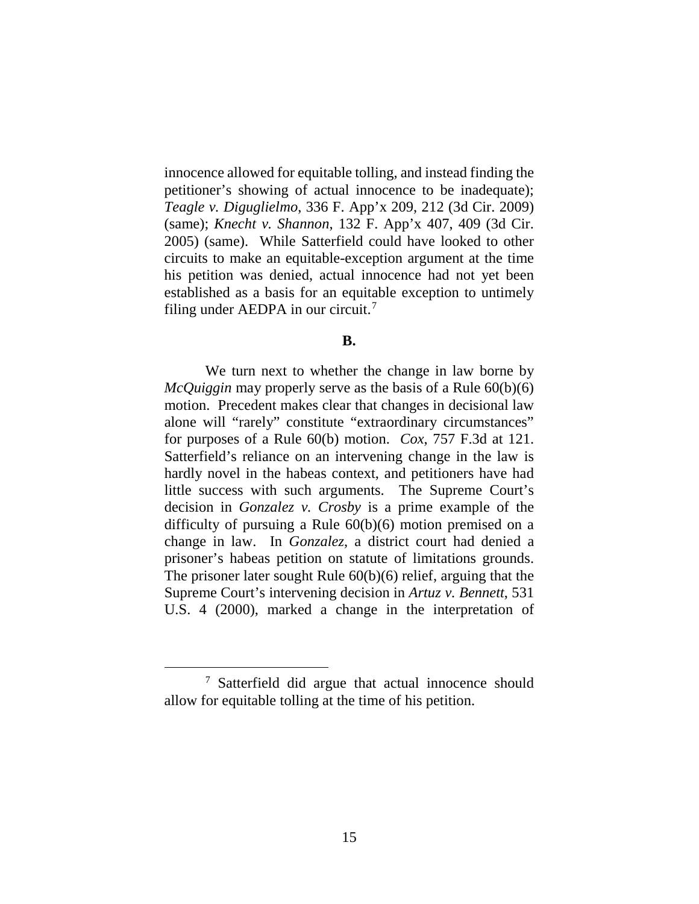innocence allowed for equitable tolling, and instead finding the petitioner's showing of actual innocence to be inadequate); *Teagle v. Diguglielmo*, 336 F. App'x 209, 212 (3d Cir. 2009) (same); *Knecht v. Shannon*, 132 F. App'x 407, 409 (3d Cir. 2005) (same). While Satterfield could have looked to other circuits to make an equitable-exception argument at the time his petition was denied, actual innocence had not yet been established as a basis for an equitable exception to untimely filing under AEDPA in our circuit. $7$ 

#### **B.**

We turn next to whether the change in law borne by *McQuiggin* may properly serve as the basis of a Rule 60(b)(6) motion. Precedent makes clear that changes in decisional law alone will "rarely" constitute "extraordinary circumstances" for purposes of a Rule 60(b) motion. *Cox*, 757 F.3d at 121. Satterfield's reliance on an intervening change in the law is hardly novel in the habeas context, and petitioners have had little success with such arguments. The Supreme Court's decision in *Gonzalez v. Crosby* is a prime example of the difficulty of pursuing a Rule 60(b)(6) motion premised on a change in law. In *Gonzalez*, a district court had denied a prisoner's habeas petition on statute of limitations grounds. The prisoner later sought Rule 60(b)(6) relief, arguing that the Supreme Court's intervening decision in *Artuz v. Bennett*, 531 U.S. 4 (2000), marked a change in the interpretation of

 <sup>7</sup> Satterfield did argue that actual innocence should allow for equitable tolling at the time of his petition.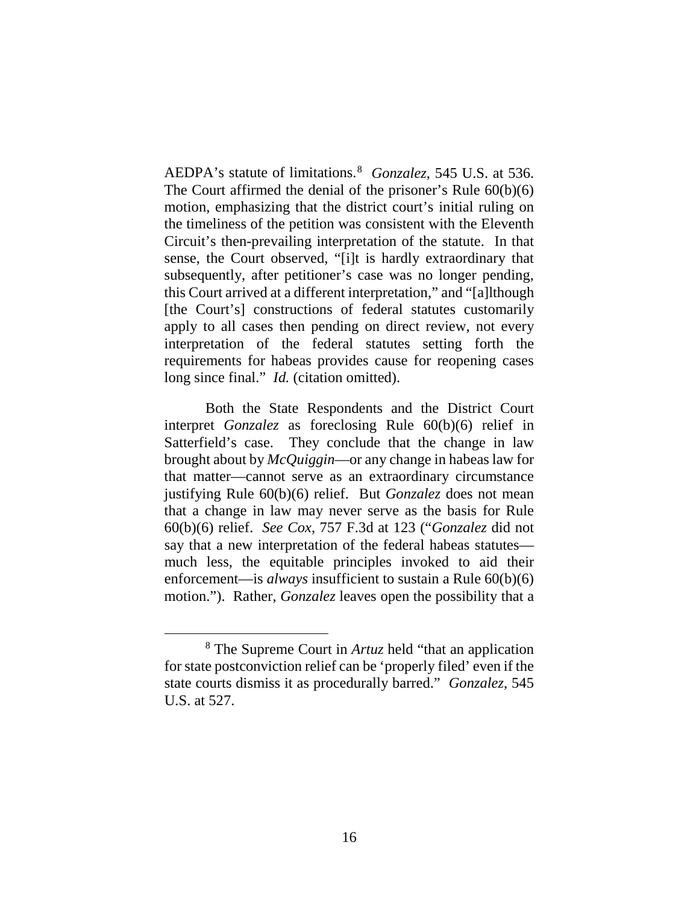AEDPA's statute of limitations.8 *Gonzalez*, 545 U.S. at 536. The Court affirmed the denial of the prisoner's Rule 60(b)(6) motion, emphasizing that the district court's initial ruling on the timeliness of the petition was consistent with the Eleventh Circuit's then-prevailing interpretation of the statute. In that sense, the Court observed, "[i]t is hardly extraordinary that subsequently, after petitioner's case was no longer pending, this Court arrived at a different interpretation," and "[a]lthough [the Court's] constructions of federal statutes customarily apply to all cases then pending on direct review, not every interpretation of the federal statutes setting forth the requirements for habeas provides cause for reopening cases long since final." *Id.* (citation omitted).

Both the State Respondents and the District Court interpret *Gonzalez* as foreclosing Rule 60(b)(6) relief in Satterfield's case. They conclude that the change in law brought about by *McQuiggin*—or any change in habeas law for that matter—cannot serve as an extraordinary circumstance justifying Rule 60(b)(6) relief. But *Gonzalez* does not mean that a change in law may never serve as the basis for Rule 60(b)(6) relief. *See Cox*, 757 F.3d at 123 ("*Gonzalez* did not say that a new interpretation of the federal habeas statutes much less, the equitable principles invoked to aid their enforcement—is *always* insufficient to sustain a Rule 60(b)(6) motion."). Rather, *Gonzalez* leaves open the possibility that a

 <sup>8</sup> The Supreme Court in *Artuz* held "that an application for state postconviction relief can be 'properly filed' even if the state courts dismiss it as procedurally barred." *Gonzalez*, 545 U.S. at 527.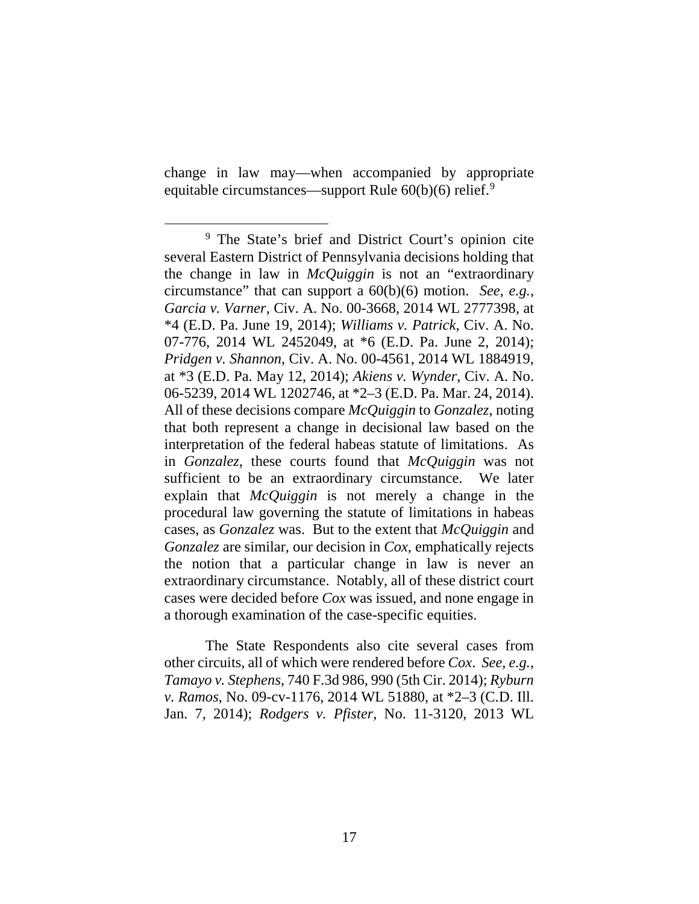change in law may—when accompanied by appropriate equitable circumstances—support Rule  $60(b)(6)$  relief.<sup>9</sup>

The State Respondents also cite several cases from other circuits, all of which were rendered before *Cox*. *See, e.g.*, *Tamayo v. Stephens*, 740 F.3d 986, 990 (5th Cir. 2014); *Ryburn v. Ramos*, No. 09-cv-1176, 2014 WL 51880, at \*2–3 (C.D. Ill. Jan. 7, 2014); *Rodgers v. Pfister*, No. 11-3120, 2013 WL

<sup>&</sup>lt;sup>9</sup> The State's brief and District Court's opinion cite several Eastern District of Pennsylvania decisions holding that the change in law in *McQuiggin* is not an "extraordinary circumstance" that can support a 60(b)(6) motion. *See, e.g.*, *Garcia v. Varner*, Civ. A. No. 00-3668, 2014 WL 2777398, at \*4 (E.D. Pa. June 19, 2014); *Williams v. Patrick*, Civ. A. No. 07-776, 2014 WL 2452049, at \*6 (E.D. Pa. June 2, 2014); *Pridgen v. Shannon*, Civ. A. No. 00-4561, 2014 WL 1884919, at \*3 (E.D. Pa. May 12, 2014); *Akiens v. Wynder*, Civ. A. No. 06-5239, 2014 WL 1202746, at \*2–3 (E.D. Pa. Mar. 24, 2014). All of these decisions compare *McQuiggin* to *Gonzalez*, noting that both represent a change in decisional law based on the interpretation of the federal habeas statute of limitations. As in *Gonzalez*, these courts found that *McQuiggin* was not sufficient to be an extraordinary circumstance. We later explain that *McQuiggin* is not merely a change in the procedural law governing the statute of limitations in habeas cases, as *Gonzalez* was. But to the extent that *McQuiggin* and *Gonzalez* are similar, our decision in *Cox*, emphatically rejects the notion that a particular change in law is never an extraordinary circumstance. Notably, all of these district court cases were decided before *Cox* was issued, and none engage in a thorough examination of the case-specific equities.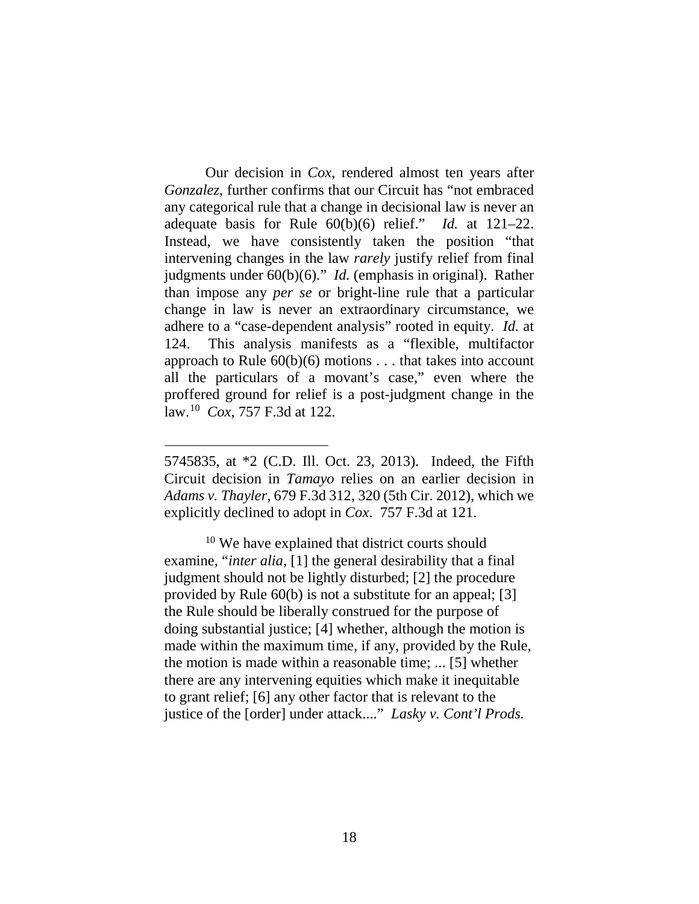Our decision in *Cox*, rendered almost ten years after *Gonzalez*, further confirms that our Circuit has "not embraced any categorical rule that a change in decisional law is never an adequate basis for Rule 60(b)(6) relief." *Id.* at 121–22. Instead, we have consistently taken the position "that intervening changes in the law *rarely* justify relief from final judgments under 60(b)(6)." *Id.* (emphasis in original). Rather than impose any *per se* or bright-line rule that a particular change in law is never an extraordinary circumstance, we adhere to a "case-dependent analysis" rooted in equity. *Id.* at 124. This analysis manifests as a "flexible, multifactor approach to Rule  $60(b)(6)$  motions . . . that takes into account all the particulars of a movant's case," even where the proffered ground for relief is a post-judgment change in the law.10 *Cox*, 757 F.3d at 122.

 $\overline{a}$ 

<sup>10</sup> We have explained that district courts should examine, "*inter alia*, [1] the general desirability that a final judgment should not be lightly disturbed; [2] the procedure provided by Rule 60(b) is not a substitute for an appeal; [3] the Rule should be liberally construed for the purpose of doing substantial justice; [4] whether, although the motion is made within the maximum time, if any, provided by the Rule, the motion is made within a reasonable time; ... [5] whether there are any intervening equities which make it inequitable to grant relief; [6] any other factor that is relevant to the justice of the [order] under attack...." *Lasky v. Cont'l Prods.* 

<sup>5745835,</sup> at \*2 (C.D. Ill. Oct. 23, 2013). Indeed, the Fifth Circuit decision in *Tamayo* relies on an earlier decision in *Adams v. Thayler*, 679 F.3d 312, 320 (5th Cir. 2012), which we explicitly declined to adopt in *Cox*. 757 F.3d at 121.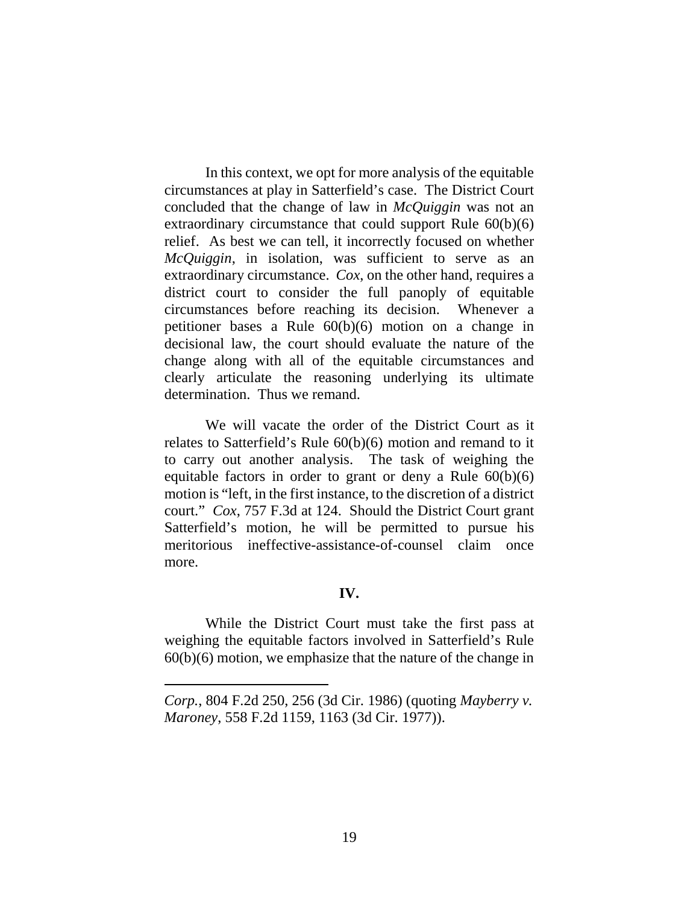In this context, we opt for more analysis of the equitable circumstances at play in Satterfield's case. The District Court concluded that the change of law in *McQuiggin* was not an extraordinary circumstance that could support Rule 60(b)(6) relief. As best we can tell, it incorrectly focused on whether *McQuiggin*, in isolation, was sufficient to serve as an extraordinary circumstance. *Cox*, on the other hand, requires a district court to consider the full panoply of equitable circumstances before reaching its decision. Whenever a petitioner bases a Rule 60(b)(6) motion on a change in decisional law, the court should evaluate the nature of the change along with all of the equitable circumstances and clearly articulate the reasoning underlying its ultimate determination. Thus we remand.

We will vacate the order of the District Court as it relates to Satterfield's Rule 60(b)(6) motion and remand to it to carry out another analysis. The task of weighing the equitable factors in order to grant or deny a Rule  $60(b)(6)$ motion is "left, in the first instance, to the discretion of a district court." *Cox*, 757 F.3d at 124. Should the District Court grant Satterfield's motion, he will be permitted to pursue his meritorious ineffective-assistance-of-counsel claim once more.

### **IV.**

While the District Court must take the first pass at weighing the equitable factors involved in Satterfield's Rule  $60(b)(6)$  motion, we emphasize that the nature of the change in

 $\overline{a}$ 

*Corp.*, 804 F.2d 250, 256 (3d Cir. 1986) (quoting *Mayberry v. Maroney*, 558 F.2d 1159, 1163 (3d Cir. 1977)).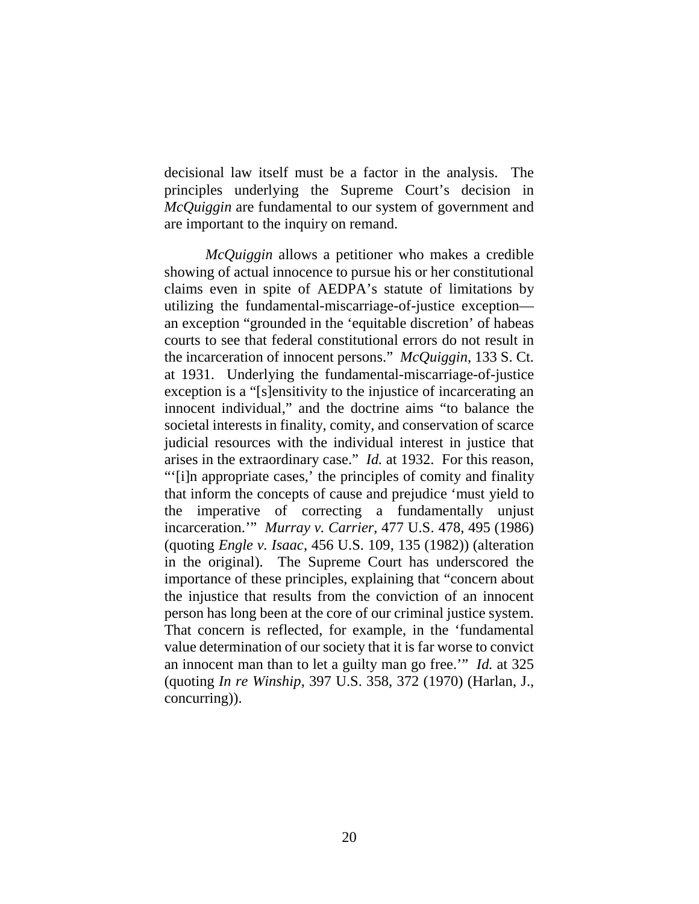decisional law itself must be a factor in the analysis. The principles underlying the Supreme Court's decision in *McQuiggin* are fundamental to our system of government and are important to the inquiry on remand.

*McQuiggin* allows a petitioner who makes a credible showing of actual innocence to pursue his or her constitutional claims even in spite of AEDPA's statute of limitations by utilizing the fundamental-miscarriage-of-justice exception an exception "grounded in the 'equitable discretion' of habeas courts to see that federal constitutional errors do not result in the incarceration of innocent persons." *McQuiggin*, 133 S. Ct. at 1931. Underlying the fundamental-miscarriage-of-justice exception is a "[s]ensitivity to the injustice of incarcerating an innocent individual," and the doctrine aims "to balance the societal interests in finality, comity, and conservation of scarce judicial resources with the individual interest in justice that arises in the extraordinary case." *Id.* at 1932. For this reason, "'[i]n appropriate cases,' the principles of comity and finality that inform the concepts of cause and prejudice 'must yield to the imperative of correcting a fundamentally unjust incarceration.'" *Murray v. Carrier*, 477 U.S. 478, 495 (1986) (quoting *Engle v. Isaac*, 456 U.S. 109, 135 (1982)) (alteration in the original). The Supreme Court has underscored the importance of these principles, explaining that "concern about the injustice that results from the conviction of an innocent person has long been at the core of our criminal justice system. That concern is reflected, for example, in the 'fundamental value determination of our society that it is far worse to convict an innocent man than to let a guilty man go free.'" *Id.* at 325 (quoting *In re Winship*, 397 U.S. 358, 372 (1970) (Harlan, J., concurring)).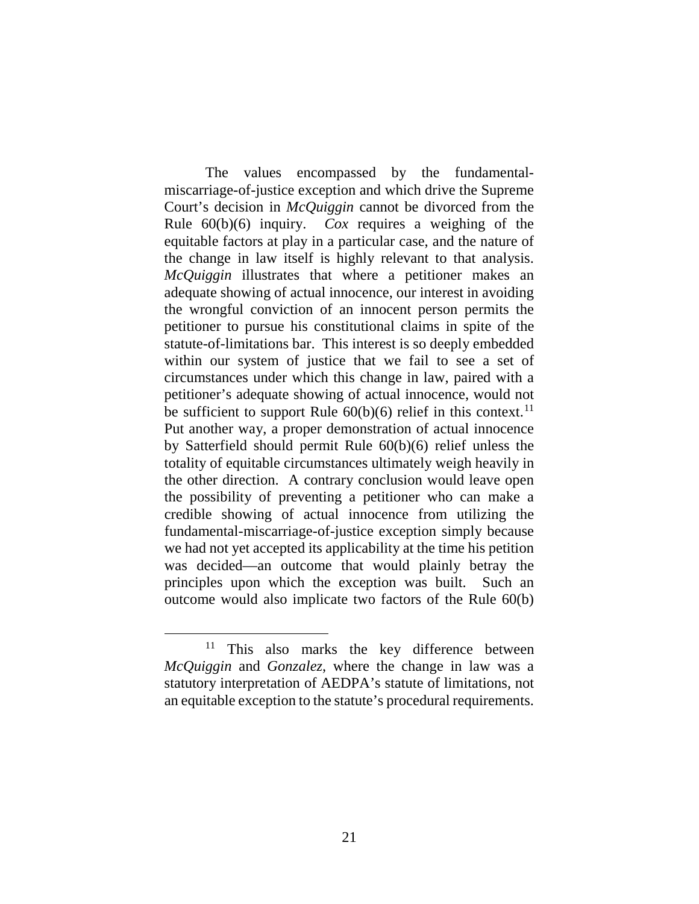The values encompassed by the fundamentalmiscarriage-of-justice exception and which drive the Supreme Court's decision in *McQuiggin* cannot be divorced from the Rule 60(b)(6) inquiry. *Cox* requires a weighing of the equitable factors at play in a particular case, and the nature of the change in law itself is highly relevant to that analysis. *McQuiggin* illustrates that where a petitioner makes an adequate showing of actual innocence, our interest in avoiding the wrongful conviction of an innocent person permits the petitioner to pursue his constitutional claims in spite of the statute-of-limitations bar. This interest is so deeply embedded within our system of justice that we fail to see a set of circumstances under which this change in law, paired with a petitioner's adequate showing of actual innocence, would not be sufficient to support Rule  $60(b)(6)$  relief in this context.<sup>11</sup> Put another way, a proper demonstration of actual innocence by Satterfield should permit Rule 60(b)(6) relief unless the totality of equitable circumstances ultimately weigh heavily in the other direction. A contrary conclusion would leave open the possibility of preventing a petitioner who can make a credible showing of actual innocence from utilizing the fundamental-miscarriage-of-justice exception simply because we had not yet accepted its applicability at the time his petition was decided—an outcome that would plainly betray the principles upon which the exception was built. Such an outcome would also implicate two factors of the Rule 60(b)

<sup>&</sup>lt;sup>11</sup> This also marks the key difference between *McQuiggin* and *Gonzalez*, where the change in law was a statutory interpretation of AEDPA's statute of limitations, not an equitable exception to the statute's procedural requirements.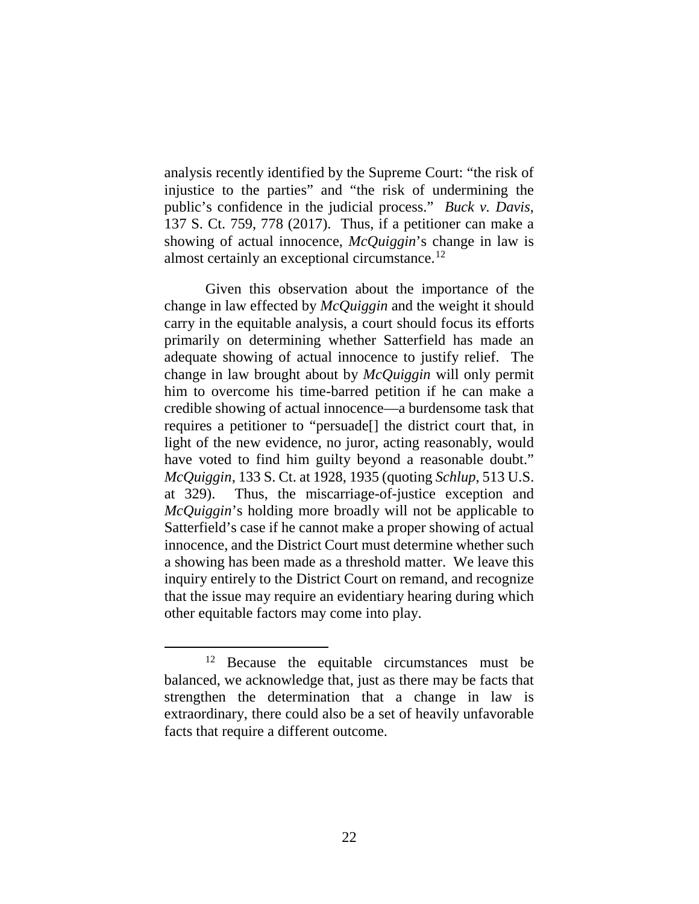analysis recently identified by the Supreme Court: "the risk of injustice to the parties" and "the risk of undermining the public's confidence in the judicial process." *Buck v. Davis*, 137 S. Ct. 759, 778 (2017). Thus, if a petitioner can make a showing of actual innocence, *McQuiggin*'s change in law is almost certainly an exceptional circumstance.12

Given this observation about the importance of the change in law effected by *McQuiggin* and the weight it should carry in the equitable analysis, a court should focus its efforts primarily on determining whether Satterfield has made an adequate showing of actual innocence to justify relief. The change in law brought about by *McQuiggin* will only permit him to overcome his time-barred petition if he can make a credible showing of actual innocence—a burdensome task that requires a petitioner to "persuade[] the district court that, in light of the new evidence, no juror, acting reasonably, would have voted to find him guilty beyond a reasonable doubt." *McQuiggin*, 133 S. Ct. at 1928, 1935 (quoting *Schlup*, 513 U.S. at 329). Thus, the miscarriage-of-justice exception and *McQuiggin*'s holding more broadly will not be applicable to Satterfield's case if he cannot make a proper showing of actual innocence, and the District Court must determine whether such a showing has been made as a threshold matter. We leave this inquiry entirely to the District Court on remand, and recognize that the issue may require an evidentiary hearing during which other equitable factors may come into play.

<sup>&</sup>lt;sup>12</sup> Because the equitable circumstances must be balanced, we acknowledge that, just as there may be facts that strengthen the determination that a change in law is extraordinary, there could also be a set of heavily unfavorable facts that require a different outcome.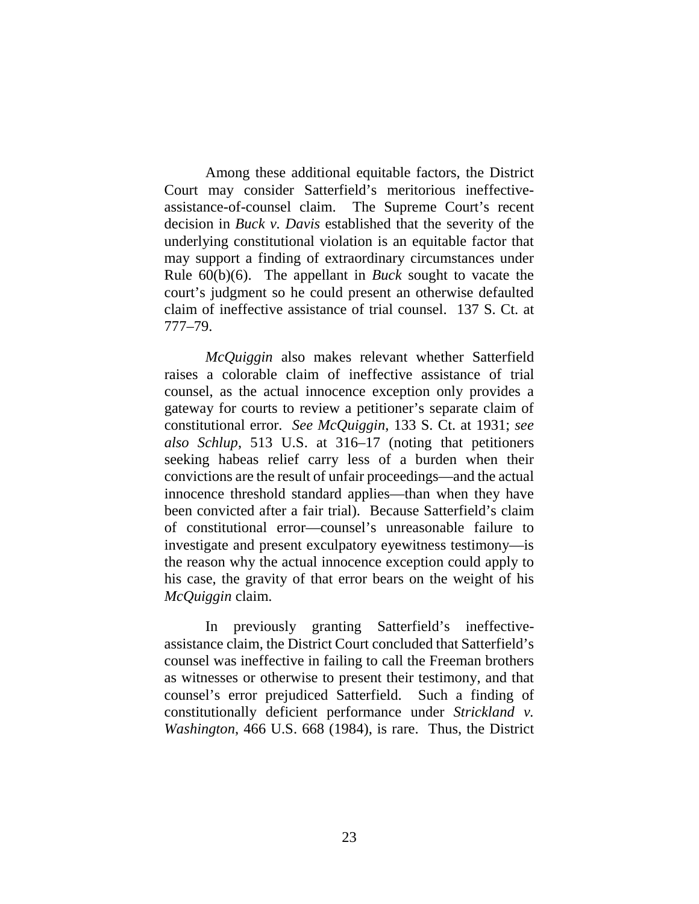Among these additional equitable factors, the District Court may consider Satterfield's meritorious ineffectiveassistance-of-counsel claim. The Supreme Court's recent decision in *Buck v. Davis* established that the severity of the underlying constitutional violation is an equitable factor that may support a finding of extraordinary circumstances under Rule 60(b)(6). The appellant in *Buck* sought to vacate the court's judgment so he could present an otherwise defaulted claim of ineffective assistance of trial counsel. 137 S. Ct. at 777–79.

*McQuiggin* also makes relevant whether Satterfield raises a colorable claim of ineffective assistance of trial counsel, as the actual innocence exception only provides a gateway for courts to review a petitioner's separate claim of constitutional error. *See McQuiggin*, 133 S. Ct. at 1931; *see also Schlup*, 513 U.S. at 316–17 (noting that petitioners seeking habeas relief carry less of a burden when their convictions are the result of unfair proceedings—and the actual innocence threshold standard applies—than when they have been convicted after a fair trial). Because Satterfield's claim of constitutional error—counsel's unreasonable failure to investigate and present exculpatory eyewitness testimony—is the reason why the actual innocence exception could apply to his case, the gravity of that error bears on the weight of his *McQuiggin* claim.

In previously granting Satterfield's ineffectiveassistance claim, the District Court concluded that Satterfield's counsel was ineffective in failing to call the Freeman brothers as witnesses or otherwise to present their testimony, and that counsel's error prejudiced Satterfield. Such a finding of constitutionally deficient performance under *Strickland v. Washington*, 466 U.S. 668 (1984), is rare. Thus, the District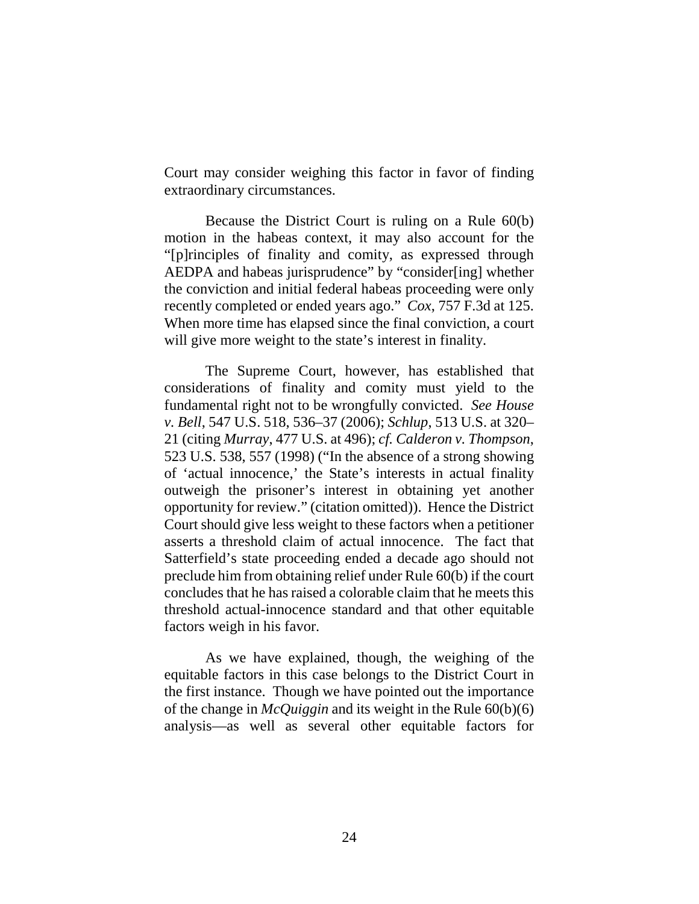Court may consider weighing this factor in favor of finding extraordinary circumstances.

Because the District Court is ruling on a Rule 60(b) motion in the habeas context, it may also account for the "[p]rinciples of finality and comity, as expressed through AEDPA and habeas jurisprudence" by "consider[ing] whether the conviction and initial federal habeas proceeding were only recently completed or ended years ago." *Cox*, 757 F.3d at 125. When more time has elapsed since the final conviction, a court will give more weight to the state's interest in finality.

The Supreme Court, however, has established that considerations of finality and comity must yield to the fundamental right not to be wrongfully convicted. *See House v. Bell*, 547 U.S. 518, 536–37 (2006); *Schlup*, 513 U.S. at 320– 21 (citing *Murray*, 477 U.S. at 496); *cf. Calderon v. Thompson*, 523 U.S. 538, 557 (1998) ("In the absence of a strong showing of 'actual innocence,' the State's interests in actual finality outweigh the prisoner's interest in obtaining yet another opportunity for review." (citation omitted)). Hence the District Court should give less weight to these factors when a petitioner asserts a threshold claim of actual innocence. The fact that Satterfield's state proceeding ended a decade ago should not preclude him from obtaining relief under Rule 60(b) if the court concludes that he has raised a colorable claim that he meets this threshold actual-innocence standard and that other equitable factors weigh in his favor.

As we have explained, though, the weighing of the equitable factors in this case belongs to the District Court in the first instance. Though we have pointed out the importance of the change in *McQuiggin* and its weight in the Rule 60(b)(6) analysis—as well as several other equitable factors for